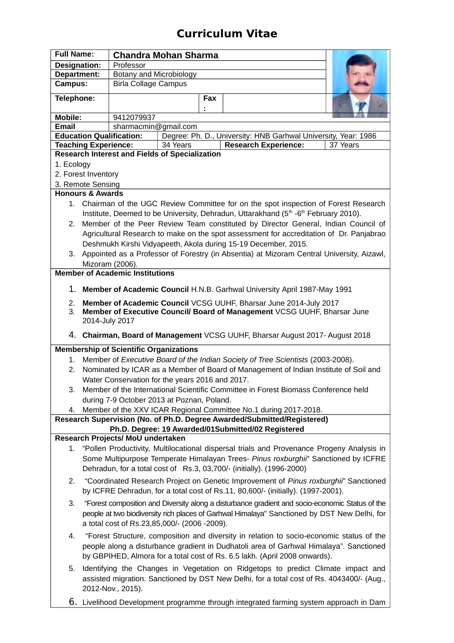# **Curriculum Vitae**

| <b>Full Name:</b>                                                                                                                                                                                    |                                                                                       | <b>Chandra Mohan Sharma</b> |     |                                                                                                 |  |  |  |
|------------------------------------------------------------------------------------------------------------------------------------------------------------------------------------------------------|---------------------------------------------------------------------------------------|-----------------------------|-----|-------------------------------------------------------------------------------------------------|--|--|--|
| Designation:                                                                                                                                                                                         | Professor                                                                             |                             |     |                                                                                                 |  |  |  |
| Department:                                                                                                                                                                                          |                                                                                       | Botany and Microbiology     |     |                                                                                                 |  |  |  |
| <b>Campus:</b>                                                                                                                                                                                       |                                                                                       | <b>Birla Collage Campus</b> |     |                                                                                                 |  |  |  |
| Telephone:                                                                                                                                                                                           |                                                                                       |                             | Fax |                                                                                                 |  |  |  |
| Mobile:                                                                                                                                                                                              |                                                                                       | 9412079937                  |     |                                                                                                 |  |  |  |
| <b>Email</b><br>sharmacmin@gmail.com                                                                                                                                                                 |                                                                                       |                             |     |                                                                                                 |  |  |  |
| <b>Education Qualification:</b><br>Degree: Ph. D., University: HNB Garhwal University, Year: 1986                                                                                                    |                                                                                       |                             |     |                                                                                                 |  |  |  |
| 34 Years<br><b>Teaching Experience:</b><br><b>Research Experience:</b><br>37 Years                                                                                                                   |                                                                                       |                             |     |                                                                                                 |  |  |  |
| <b>Research Interest and Fields of Specialization</b>                                                                                                                                                |                                                                                       |                             |     |                                                                                                 |  |  |  |
| 1. Ecology                                                                                                                                                                                           |                                                                                       |                             |     |                                                                                                 |  |  |  |
| 2. Forest Inventory                                                                                                                                                                                  |                                                                                       |                             |     |                                                                                                 |  |  |  |
| 3. Remote Sensing                                                                                                                                                                                    |                                                                                       |                             |     |                                                                                                 |  |  |  |
| <b>Honours &amp; Awards</b>                                                                                                                                                                          |                                                                                       |                             |     |                                                                                                 |  |  |  |
| 1. Chairman of the UGC Review Committee for on the spot inspection of Forest Research<br>Institute, Deemed to be University, Dehradun, Uttarakhand (5 <sup>th</sup> -6 <sup>th</sup> February 2010). |                                                                                       |                             |     |                                                                                                 |  |  |  |
| 2. Member of the Peer Review Team constituted by Director General, Indian Council of                                                                                                                 |                                                                                       |                             |     |                                                                                                 |  |  |  |
| Agricultural Research to make on the spot assessment for accreditation of Dr. Panjabrao                                                                                                              |                                                                                       |                             |     |                                                                                                 |  |  |  |
| Deshmukh Kirshi Vidyapeeth, Akola during 15-19 December, 2015.                                                                                                                                       |                                                                                       |                             |     |                                                                                                 |  |  |  |
| 3. Appointed as a Professor of Forestry (in Absentia) at Mizoram Central University, Aizawl,                                                                                                         |                                                                                       |                             |     |                                                                                                 |  |  |  |
| Mizoram (2006).<br><b>Member of Academic Institutions</b>                                                                                                                                            |                                                                                       |                             |     |                                                                                                 |  |  |  |
|                                                                                                                                                                                                      |                                                                                       |                             |     |                                                                                                 |  |  |  |
| 1. Member of Academic Council H.N.B. Garhwal University April 1987-May 1991                                                                                                                          |                                                                                       |                             |     |                                                                                                 |  |  |  |
| Member of Academic Council VCSG UUHF, Bharsar June 2014-July 2017<br>2.                                                                                                                              |                                                                                       |                             |     |                                                                                                 |  |  |  |
| 3.                                                                                                                                                                                                   |                                                                                       |                             |     | Member of Executive Council/ Board of Management VCSG UUHF, Bharsar June                        |  |  |  |
| 2014-July 2017                                                                                                                                                                                       |                                                                                       |                             |     |                                                                                                 |  |  |  |
| 4. Chairman, Board of Management VCSG UUHF, Bharsar August 2017- August 2018<br><b>Membership of Scientific Organizations</b>                                                                        |                                                                                       |                             |     |                                                                                                 |  |  |  |
| 1.                                                                                                                                                                                                   | Member of Executive Board of the Indian Society of Tree Scientists (2003-2008).       |                             |     |                                                                                                 |  |  |  |
| 2.                                                                                                                                                                                                   | Nominated by ICAR as a Member of Board of Management of Indian Institute of Soil and  |                             |     |                                                                                                 |  |  |  |
|                                                                                                                                                                                                      | Water Conservation for the years 2016 and 2017.                                       |                             |     |                                                                                                 |  |  |  |
| 3.                                                                                                                                                                                                   | Member of the International Scientific Committee in Forest Biomass Conference held    |                             |     |                                                                                                 |  |  |  |
|                                                                                                                                                                                                      | during 7-9 October 2013 at Poznan, Poland.                                            |                             |     |                                                                                                 |  |  |  |
|                                                                                                                                                                                                      | Member of the XXV ICAR Regional Committee No.1 during 2017-2018.<br>4.                |                             |     |                                                                                                 |  |  |  |
| Research Supervision (No. of Ph.D. Degree Awarded/Submitted/Registered)                                                                                                                              |                                                                                       |                             |     |                                                                                                 |  |  |  |
| Ph.D. Degree: 19 Awarded/01Submitted/02 Registered                                                                                                                                                   |                                                                                       |                             |     |                                                                                                 |  |  |  |
| Research Projects/ MoU undertaken                                                                                                                                                                    |                                                                                       |                             |     |                                                                                                 |  |  |  |
|                                                                                                                                                                                                      |                                                                                       |                             |     | 1. "Pollen Productivity, Multilocational dispersal trials and Provenance Progeny Analysis in    |  |  |  |
|                                                                                                                                                                                                      |                                                                                       |                             |     | Some Multipurpose Temperate Himalayan Trees- Pinus roxburghii" Sanctioned by ICFRE              |  |  |  |
|                                                                                                                                                                                                      |                                                                                       |                             |     | Dehradun, for a total cost of Rs.3, 03,700/- (initially). (1996-2000)                           |  |  |  |
| 2.                                                                                                                                                                                                   |                                                                                       |                             |     | "Coordinated Research Project on Genetic Improvement of Pinus roxburghii" Sanctioned            |  |  |  |
|                                                                                                                                                                                                      |                                                                                       |                             |     | by ICFRE Dehradun, for a total cost of Rs.11, 80,600/- (initially). (1997-2001).                |  |  |  |
|                                                                                                                                                                                                      |                                                                                       |                             |     |                                                                                                 |  |  |  |
| 3.                                                                                                                                                                                                   |                                                                                       |                             |     | "Forest composition and Diversity along a disturbance gradient and socio-economic Status of the |  |  |  |
|                                                                                                                                                                                                      |                                                                                       |                             |     | people at two biodiversity rich places of Garhwal Himalaya" Sanctioned by DST New Delhi, for    |  |  |  |
|                                                                                                                                                                                                      | a total cost of Rs.23,85,000/- (2006 -2009).                                          |                             |     |                                                                                                 |  |  |  |
| 4.                                                                                                                                                                                                   |                                                                                       |                             |     | "Forest Structure, composition and diversity in relation to socio-economic status of the        |  |  |  |
|                                                                                                                                                                                                      |                                                                                       |                             |     | people along a disturbance gradient in Dudhatoli area of Garhwal Himalaya". Sanctioned          |  |  |  |
|                                                                                                                                                                                                      |                                                                                       |                             |     | by GBPIHED, Almora for a total cost of Rs. 6.5 lakh. (April 2008 onwards).                      |  |  |  |
| 5.                                                                                                                                                                                                   |                                                                                       |                             |     | Identifying the Changes in Vegetation on Ridgetops to predict Climate impact and                |  |  |  |
|                                                                                                                                                                                                      |                                                                                       |                             |     | assisted migration. Sanctioned by DST New Delhi, for a total cost of Rs. 4043400/- (Aug.,       |  |  |  |
|                                                                                                                                                                                                      | 2012-Nov., 2015).                                                                     |                             |     |                                                                                                 |  |  |  |
|                                                                                                                                                                                                      |                                                                                       |                             |     |                                                                                                 |  |  |  |
|                                                                                                                                                                                                      | 6. Livelihood Development programme through integrated farming system approach in Dam |                             |     |                                                                                                 |  |  |  |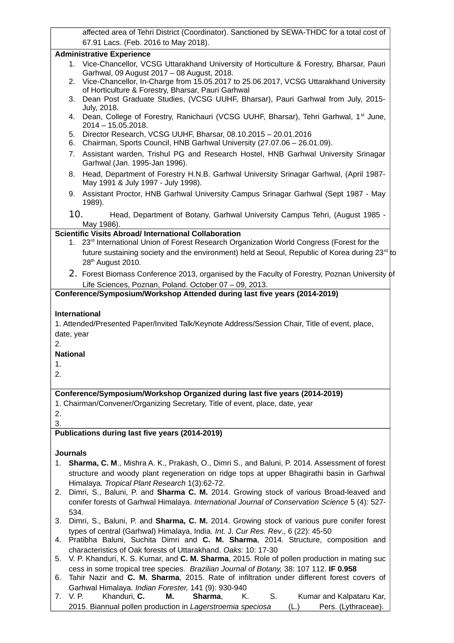affected area of Tehri District (Coordinator). Sanctioned by SEWA-THDC for a total cost of 67.91 Lacs. (Feb. 2016 to May 2018).

#### **Administrative Experience**

- 1. Vice-Chancellor, VCSG Uttarakhand University of Horticulture & Forestry, Bharsar, Pauri Garhwal, 09 August 2017 – 08 August, 2018.
- 2. Vice-Chancellor, In-Charge from 15.05.2017 to 25.06.2017, VCSG Uttarakhand University of Horticulture & Forestry, Bharsar, Pauri Garhwal
- 3. Dean Post Graduate Studies, (VCSG UUHF, Bharsar), Pauri Garhwal from July, 2015- July, 2018.
- 4. Dean, College of Forestry, Ranichauri (VCSG UUHF, Bharsar), Tehri Garhwal, 1<sup>st</sup> June, 2014 – 15.05.2018.
- 5. Director Research, VCSG UUHF, Bharsar, 08.10.2015 20.01.2016
- 6. Chairman, Sports Council, HNB Garhwal University (27.07.06 26.01.09).
- 7. Assistant warden, Trishul PG and Research Hostel, HNB Garhwal University Srinagar Garhwal (Jan. 1995-Jan 1996).
- 8. Head, Department of Forestry H.N.B. Garhwal University Srinagar Garhwal, (April 1987- May 1991 & July 1997 - July 1998).
- 9. Assistant Proctor, HNB Garhwal University Campus Srinagar Garhwal (Sept 1987 May 1989).
- 10. Head, Department of Botany, Garhwal University Campus Tehri, (August 1985 May 1986).

#### **Scientific Visits Abroad/ International Collaboration**

- 1. 23<sup>rd</sup> International Union of Forest Research Organization World Congress (Forest for the future sustaining society and the environment) held at Seoul, Republic of Korea during 23 $^{\text{rd}}$  to 28<sup>th</sup> August 2010.
- 2. Forest Biomass Conference 2013, organised by the Faculty of Forestry, Poznan University of Life Sciences, Poznan, Poland. October 07 – 09, 2013.

#### **Conference/Symposium/Workshop Attended during last five years (2014-2019)**

#### **International**

1. Attended/Presented Paper/Invited Talk/Keynote Address/Session Chair, Title of event, place, date, year

2.

**National**

1.

2.

#### **Conference/Symposium/Workshop Organized during last five years (2014-2019)**

1. Chairman/Convener/Organizing Secretary, Title of event, place, date, year

2.

3.

## **Publications during last five years (2014-2019)**

### **Journals**

- 1. **Sharma, C. M**., Mishra A. K., Prakash, O., Dimri S., and Baluni, P. 2014. Assessment of forest structure and woody plant regeneration on ridge tops at upper Bhagirathi basin in Garhwal Himalaya. *Tropical Plant Research* 1(3):62-72.
- 2. Dimri, S., Baluni, P. and **Sharma C. M.** 2014. Growing stock of various Broad-leaved and conifer forests of Garhwal Himalaya. *International Journal of Conservation Science* 5 (4): 527- 534.
- 3. Dimri, S., Baluni, P. and **Sharma, C. M.** 2014. Growing stock of various pure conifer forest types of central (Garhwal) Himalaya, India. *Int.* J. *Cur Res. Rev*., 6 (22): 45-50
- 4. Pratibha Baluni, Suchita Dimri and **C. M. Sharma**, 2014. Structure, composition and characteristics of Oak forests of Uttarakhand. *Oaks:* 10: 17-30
- 5. V. P. Khanduri, K. S. Kumar, and **C. M. Sharma**, 2015. Role of pollen production in mating suc cess in some tropical tree species. *Brazilian Journal of Botany,* 38: 107 112. **IF 0.958**
- 6. Tahir Nazir and **C. M. Sharma**, 2015. Rate of infiltration under different forest covers of Garhwal Himalaya. *Indian Forester,* 141 (9): 930-940
- 7. V. P. Khanduri, **C. M. Sharma**, K. S. Kumar and Kalpataru Kar, 2015. Biannual pollen production in *Lagerstroemia speciosa* (L.) Pers. (Lythraceae).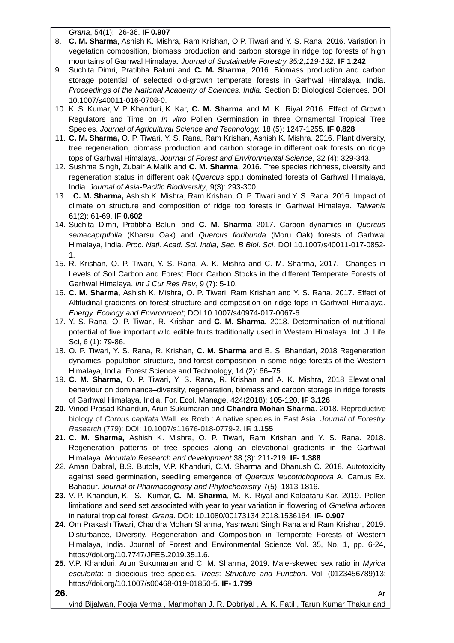*Grana*, 54(1): 26-36. **IF 0.907**

- 8. **C. M. Sharma**, Ashish K. Mishra, Ram Krishan, O.P. Tiwari and Y. S. Rana, 2016. Variation in vegetation composition, biomass production and carbon storage in ridge top forests of high mountains of Garhwal Himalaya*. Journal of Sustainable Forestry 35:2,119-132.* **IF 1.242**
- 9. Suchita Dimri, Pratibha Baluni and **C. M. Sharma**, 2016. Biomass production and carbon storage potential of selected old-growth temperate forests in Garhwal Himalaya, India. *Proceedings of the National Academy of Sciences, India.* Section B: Biological Sciences. DOI 10.1007/s40011-016-0708-0.
- 10. K. S. Kumar, V. P. Khanduri, K. Kar, **C. M. Sharma** and M. K. Riyal 2016. Effect of Growth Regulators and Time on *In vitro* Pollen Germination in three Ornamental Tropical Tree Species. *Journal of Agricultural Science and Technology,* 18 (5): 1247-1255. **IF 0.828**
- 11. **C. M. Sharma,** O. P. Tiwari, Y. S. Rana, Ram Krishan, Ashish K. Mishra. 2016. Plant diversity, tree regeneration, biomass production and carbon storage in different oak forests on ridge tops of Garhwal Himalaya. *Journal of Forest and Environmental Science*, 32 (4): 329-343.
- 12. Sushma Singh, Zubair A Malik and **C. M. Sharma**. 2016. Tree species richness, diversity and regeneration status in different oak (*Quercus* spp.) dominated forests of Garhwal Himalaya, India. *Journal of Asia-Pacific Biodiversity*, 9(3): 293-300.
- 13. **C. M. Sharma,** Ashish K. Mishra, Ram Krishan, O. P. Tiwari and Y. S. Rana. 2016. Impact of climate on structure and composition of ridge top forests in Garhwal Himalaya. *Taiwania* 61(2): 61-69. **IF 0.602**
- 14. Suchita Dimri, Pratibha Baluni and **C. M. Sharma** 2017. Carbon dynamics in *Quercus semecaprpifolia* (Kharsu Oak) and *Quercus floribunda* (Moru Oak) forests of Garhwal Himalaya, India. *Proc. Natl. Acad. Sci. India, Sec. B Biol. Sci*. DOI 10.1007/s40011-017-0852- 1.
- 15. R. Krishan, O. P. Tiwari, Y. S. Rana, A. K. Mishra and C. M. Sharma, 2017. Changes in Levels of Soil Carbon and Forest Floor Carbon Stocks in the different Temperate Forests of Garhwal Himalaya. *Int J Cur Res Rev*, 9 (7): 5-10.
- 16. **C. M. Sharma,** Ashish K. Mishra, O. P. Tiwari, Ram Krishan and Y. S. Rana. 2017. Effect of Altitudinal gradients on forest structure and composition on ridge tops in Garhwal Himalaya. *Energy, Ecology and Environment*; DOI 10.1007/s40974-017-0067-6
- 17. Y. S. Rana, O. P. Tiwari, R. Krishan and **C. M. Sharma,** 2018. Determination of nutritional potential of five important wild edible fruits traditionally used in Western Himalaya. Int. J. Life Sci, 6 (1): 79-86.
- 18. O. P. Tiwari, Y. S. Rana, R. Krishan, **C. M. Sharma** and B. S. Bhandari, 2018 Regeneration dynamics, population structure, and forest composition in some ridge forests of the Western Himalaya, India. Forest Science and Technology, 14 (2): 66–75.
- 19. **C. M. Sharma**, O. P. Tiwari, Y. S. Rana, R. Krishan and A. K. Mishra, 2018 Elevational behaviour on dominance–diversity, regeneration, biomass and carbon storage in ridge forests of Garhwal Himalaya, India. For. Ecol. Manage, 424(2018): 105-120. **IF 3.126**
- **20.** Vinod Prasad Khanduri, Arun Sukumaran and **Chandra Mohan Sharma**. 2018. Reproductive biology of *Cornus capitata* Wall. ex Roxb.: A native species in East Asia. *Journal of Forestry Research* (779): DOI: 10.1007/s11676-018-0779-2. **IF. 1.155**
- **21. C. M. Sharma,** Ashish K. Mishra, O. P. Tiwari, Ram Krishan and Y. S. Rana. 2018. Regeneration patterns of tree species along an elevational gradients in the Garhwal Himalaya. *Mountain Research and development* 38 (3): 211-219. **IF- 1.388**
- *22.* Aman Dabral, B.S. Butola, V.P. Khanduri, C.M. Sharma and Dhanush C. 2018. Autotoxicity against seed germination, seedling emergence of *Quercus leucotrichophora* A. Camus Ex. Bahadur. *Journal of Pharmacognosy and Phytochemistry* 7(5): 1813-1816.
- **23.** V. P. Khanduri, K. S. Kumar, **C. M. Sharma**, M. K. Riyal and Kalpataru Kar, 2019. Pollen limitations and seed set associated with year to year variation in flowering of *Gmelina arborea* in natural tropical forest. *Grana*. DOI: 10.1080/00173134.2018.1536164. **IF- 0.907**
- **24.** Om Prakash Tiwari, Chandra Mohan Sharma, Yashwant Singh Rana and Ram Krishan, 2019. Disturbance, Diversity, Regeneration and Composition in Temperate Forests of Western Himalaya, India. Journal of Forest and Environmental Science Vol. 35, No. 1, pp. 6-24, https://doi.org/10.7747/JFES.2019.35.1.6.
- **25.** V.P. Khanduri, Arun Sukumaran and C. M. Sharma, 2019. Male-skewed sex ratio in *Myrica esculenta*: a dioecious tree species. *Trees*: *Structure and Function.* Vol. (0123456789)13; https://doi.org/10.1007/s00468-019-01850-5. **IF- 1.799**

vind Bijalwan, Pooja Verma , Manmohan J. R. Dobriyal , A. K. Patil , Tarun Kumar Thakur and